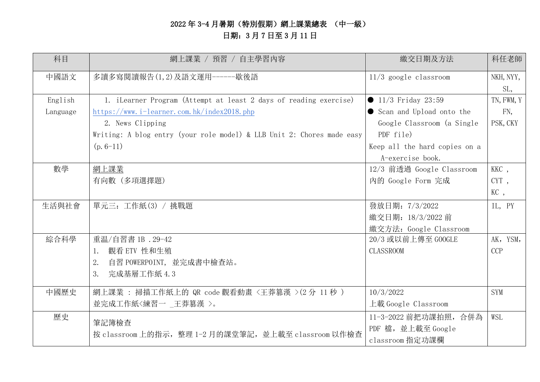# 2022 年 3-4 月暑期(特別假期)網上課業總表 (中一級) 日期:3 月 7 日至 3 月 11 日

| 科目       | 網上課業 / 預習 / 自主學習內容                                                     | 繳交日期及方法                       | 科任老師       |
|----------|------------------------------------------------------------------------|-------------------------------|------------|
| 中國語文     | 多讀多寫閱讀報告(1,2)及語文運用------歇後語                                            | $11/3$ google classroom       | NKH, NYY,  |
|          |                                                                        |                               | SL,        |
| English  | 1. iLearner Program (Attempt at least 2 days of reading exercise)      | • $11/3$ Friday 23:59         | TN, FWM, Y |
| Language | https://www.i-learner.com.hk/index2018.php                             | Scan and Upload onto the      | FN,        |
|          | 2. News Clipping                                                       | Google Classroom (a Single    | PSK, CKY   |
|          | Writing: A blog entry (your role model) & LLB Unit 2: Chores made easy | PDF file)                     |            |
|          | $(p. 6-11)$                                                            | Keep all the hard copies on a |            |
|          |                                                                        | A-exercise book.              |            |
| 數學       | 網上課業                                                                   | 12/3 前透過 Google Classroom     | KKC,       |
|          | 有向數 (多項選擇題)                                                            | 内的 Google Form 完成             | CYT,       |
|          |                                                                        |                               | KC,        |
| 生活與社會    | 單元三: 工作紙(3) / 挑戰題                                                      | 發放日期: 7/3/2022                | IL, PY     |
|          |                                                                        | 繳交日期: 18/3/2022 前             |            |
|          |                                                                        | 繳交方法: Google Classroom        |            |
| 綜合科學     | 重温/自習書 1B . 29-42                                                      | 20/3 或以前上傳至 GOOGLE            | AK, YSM,   |
|          | 1. 觀看 ETV 性和生殖                                                         | <b>CLASSROOM</b>              | <b>CCP</b> |
|          | 自習 POWERPOINT,並完成書中檢查站。<br>2.                                          |                               |            |
|          | 完成基層工作紙 4.3<br>3.                                                      |                               |            |
| 中國歷史     | 網上課業 : 掃描工作紙上的 QR code 觀看動畫 <王莽篡漢 >(2分 11 秒)                           | 10/3/2022                     | <b>SYM</b> |
|          | 並完成工作紙<練習一 _王莽篡漢 >。                                                    | 上載 Google Classroom           |            |
| 歷史       | 筆記簿檢查                                                                  | 11-3-2022 前把功課拍照, 合併為         | WSL        |
|          | 按 classroom 上的指示, 整理 1-2 月的課堂筆記, 並上載至 classroom 以作檢查                   | PDF 檔, 並上載至 Google            |            |
|          |                                                                        | classroom 指定功課欄               |            |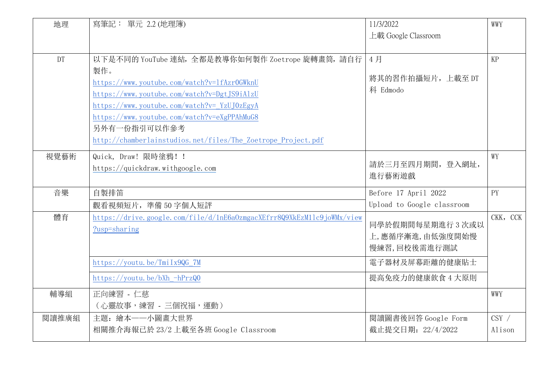| 地理        | 寫筆記: 單元 2.2 (地理簿)                                                      | 11/3/2022                  | WWY      |
|-----------|------------------------------------------------------------------------|----------------------------|----------|
|           |                                                                        | 上載 Google Classroom        |          |
|           |                                                                        |                            |          |
| <b>DT</b> | 以下是不同的 YouTube 連結, 全都是教導你如何製作 Zoetrope 旋轉畫筒, 請自行                       | 4月                         | KP       |
|           | 製作。                                                                    |                            |          |
|           | https://www.youtube.com/watch?v=1fAzr0GWknU                            | 將其的習作拍攝短片, 上載至 DT          |          |
|           | https://www.youtube.com/watch?v=DgtJS9iAlzU                            | 科 Edmodo                   |          |
|           | https://www.youtube.com/watch?v=YzUJ0zEgyA                             |                            |          |
|           | https://www.youtube.com/watch?v=eXgPPAhMuG8                            |                            |          |
|           | 另外有一份指引可以作參考                                                           |                            |          |
|           | http://chamberlainstudios.net/files/The Zoetrope Project.pdf           |                            |          |
| 視覺藝術      | Quick, Draw! 限時塗鴉! !                                                   |                            | WY       |
|           | https://quickdraw.withgoogle.com                                       | 請於三月至四月期間, 登入網址,           |          |
|           |                                                                        | 進行藝術遊戲                     |          |
| 音樂        | 自製排笛                                                                   | Before 17 April 2022       | PY       |
|           | 觀看視頻短片,準備50字個人短評                                                       | Upload to Google classroom |          |
| 體育        | https://drive.google.com/file/d/1nE6a0zmgacXEfrr8Q9XkEzM11c9joWMx/view |                            | CKK, CCK |
|           | ?usp=sharing                                                           | 同學於假期間每星期進行 3 次或以          |          |
|           |                                                                        | 上,應循序漸進,由低強度開始慢            |          |
|           |                                                                        | 慢練習,回校後需進行測試               |          |
|           | https://youtu.be/TmiIx9QG_7M                                           | 電子器材及屏幕距離的健康貼士             |          |
|           | $https://youtu. be/bXh - hPrzQ0$                                       | 提高免疫力的健康飲食 4 大原則           |          |
| 輔導組       | 正向練習 - 仁慈                                                              |                            | WWY      |
|           | (心靈故事,練習 - 三個祝福,運動)                                                    |                            |          |
| 閱讀推廣組     | 主題: 繪本一一小圖畫大世界                                                         | 閱讀圖書後回答 Google Form        | $CSY$ /  |
|           | 相關推介海報已於 23/2 上載至各班 Google Classroom                                   | 截止提交日期: 22/4/2022          | Alison   |
|           |                                                                        |                            |          |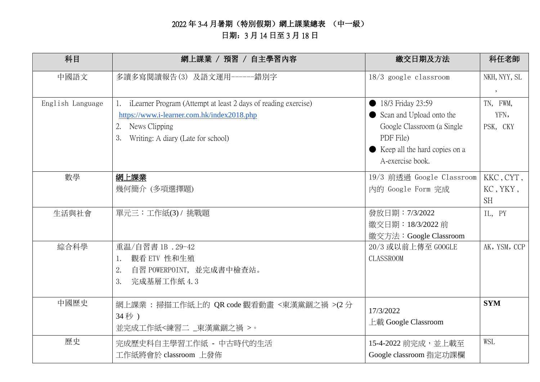## 2022 年 3-4 月暑期(特別假期)網上課業總表 (中一級) 日期:3 月 14 日至 3 月 18 日

| 科目               | 網上課業 / 預習 / 自主學習內容                                             | 繳交日期及方法                         | 科任老師                     |
|------------------|----------------------------------------------------------------|---------------------------------|--------------------------|
| 中國語文             | 多讀多寫閱讀報告(3) 及語文運用------錯別字                                     | $18/3$ google classroom         | NKH, NYY, SL             |
|                  |                                                                |                                 | $\overline{\phantom{a}}$ |
| English Language | iLearner Program (Attempt at least 2 days of reading exercise) | 18/3 Friday 23:59               | TN, FWM,                 |
|                  | https://www.i-learner.com.hk/index2018.php                     | Scan and Upload onto the        | YFN,                     |
|                  | News Clipping<br>2.                                            | Google Classroom (a Single      | PSK, CKY                 |
|                  | 3.<br>Writing: A diary (Late for school)                       | PDF File)                       |                          |
|                  |                                                                | ● Keep all the hard copies on a |                          |
|                  |                                                                | A-exercise book.                |                          |
| 數學               | 網上課業                                                           | 19/3 前透過 Google Classroom       | KKC, CYT,                |
|                  | 幾何簡介 (多項選擇題)                                                   | 內的 Google Form 完成               | KC, YKY,                 |
|                  |                                                                |                                 | <b>SH</b>                |
| 生活與社會            | 單元三:工作紙(3) / 挑戰題                                               | 發放日期: 7/3/2022                  | IL, PY                   |
|                  |                                                                | 繳交日期: 18/3/2022 前               |                          |
|                  |                                                                | 繳交方法: Google Classroom          |                          |
| 綜合科學             | 重温/自習書 1B . 29-42                                              | 20/3 或以前上傳至 GOOGLE              | AK, YSM, CCP             |
|                  | 觀看 ETV 性和生殖<br>1.                                              | <b>CLASSROOM</b>                |                          |
|                  | 自習 POWERPOINT, 並完成書中檢查站。<br>2.                                 |                                 |                          |
|                  | 完成基層工作紙 4.3<br>3.                                              |                                 |                          |
|                  |                                                                |                                 |                          |
| 中國歷史             | 網上課業: 掃描工作紙上的 QR code 觀看動畫 <東漢黨錮之禍 >(2分                        | 17/3/2022                       | <b>SYM</b>               |
|                  | 34秒)                                                           | 上載 Google Classroom             |                          |
|                  | 並完成工作紙<練習二 _東漢黨錮之禍 >。                                          |                                 |                          |
| 歷史               | 完成歷史科自主學習工作紙 - 中古時代的生活                                         | 15-4-2022 前完成,並上載至              | WSL                      |
|                  | 工作紙將會於 classroom 上發佈                                           | Google classroom 指定功課欄          |                          |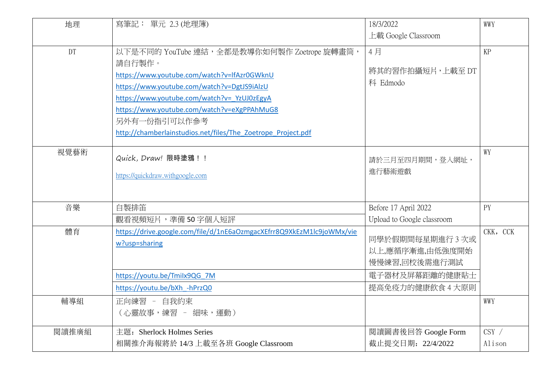| 地理        | 寫筆記: 單元 2.3 (地理簿)                                                                                                                                                                                                                                                                                                                  | 18/3/2022                                                            | WWY      |
|-----------|------------------------------------------------------------------------------------------------------------------------------------------------------------------------------------------------------------------------------------------------------------------------------------------------------------------------------------|----------------------------------------------------------------------|----------|
|           |                                                                                                                                                                                                                                                                                                                                    | 上載 Google Classroom                                                  |          |
| <b>DT</b> | 以下是不同的 YouTube 連結, 全都是教導你如何製作 Zoetrope 旋轉畫筒,<br>請自行製作。<br>https://www.youtube.com/watch?v=lfAzr0GWknU<br>https://www.youtube.com/watch?v=DgtJS9iAlzU<br>https://www.youtube.com/watch?v= YzUJ0zEgyA<br>https://www.youtube.com/watch?v=eXgPPAhMuG8<br>另外有一份指引可以作参考<br>http://chamberlainstudios.net/files/The Zoetrope Project.pdf | 4月<br>將其的習作拍攝短片,上載至 DT<br>科 Edmodo                                   | KP       |
| 視覺藝術      | Quick, Draw! 限時塗鴉 ! !<br>https://quickdraw.withgoogle.com                                                                                                                                                                                                                                                                          | 請於三月至四月期間,登入網址,<br>進行藝術遊戲                                            | WY       |
| 音樂        | 自製排笛                                                                                                                                                                                                                                                                                                                               | Before 17 April 2022                                                 | PY       |
|           | 觀看視頻短片,準備50字個人短評                                                                                                                                                                                                                                                                                                                   | Upload to Google classroom                                           |          |
| 體育        | https://drive.google.com/file/d/1nE6aOzmgacXEfrr8Q9XkEzM1lc9joWMx/vie<br>w?usp=sharing<br>https://youtu.be/Tmilx9QG 7M                                                                                                                                                                                                             | 同學於假期間每星期進行3次或<br>以上,應循序漸進,由低強度開始<br>慢慢練習,回校後需進行測試<br>電子器材及屏幕距離的健康貼士 | CKK, CCK |
|           | https://youtu.be/bXh -hPrzQ0                                                                                                                                                                                                                                                                                                       | 提高免疫力的健康飲食 4 大原則                                                     |          |
| 輔導組       | 正向練習 - 自我約束<br>(心靈故事,練習 - 細味,運動)                                                                                                                                                                                                                                                                                                   |                                                                      | WWY      |
| 閱讀推廣組     | 主題: Sherlock Holmes Series                                                                                                                                                                                                                                                                                                         | 閱讀圖書後回答 Google Form                                                  | $CSY$ /  |
|           | 相關推介海報將於 14/3 上載至各班 Google Classroom                                                                                                                                                                                                                                                                                               | 截止提交日期: 22/4/2022                                                    | Alison   |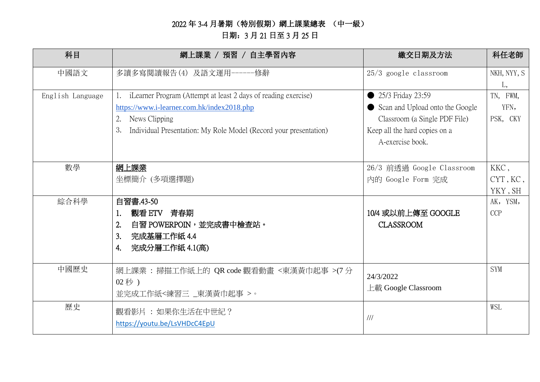## 2022 年 3-4 月暑期(特別假期)網上課業總表 (中一級) 日期:3 月 21 日至 3 月 25 日

| 科目               | 網上課業 / 預習 / 自主學習內容                                                                                                                                                                                             | 繳交日期及方法                                                                                                                                    | 科任老師                               |
|------------------|----------------------------------------------------------------------------------------------------------------------------------------------------------------------------------------------------------------|--------------------------------------------------------------------------------------------------------------------------------------------|------------------------------------|
| 中國語文             | 多讀多寫閱讀報告(4) 及語文運用------修辭                                                                                                                                                                                      | $25/3$ google classroom                                                                                                                    | NKH, NYY, S                        |
| English Language | iLearner Program (Attempt at least 2 days of reading exercise)<br>https://www.i-learner.com.hk/index2018.php<br>News Clipping<br>2.<br>3.<br>Individual Presentation: My Role Model (Record your presentation) | 25/3 Friday 23:59<br>Scan and Upload onto the Google<br>Classroom (a Single PDF File)<br>Keep all the hard copies on a<br>A-exercise book. | L,<br>TN, FWM,<br>YFN,<br>PSK, CKY |
| 數學               | 網上課業<br>坐標簡介 (多項選擇題)                                                                                                                                                                                           | 26/3 前透過 Google Classroom<br>內的 Google Form 完成                                                                                             | KKC,<br>CYT, KC,<br>YKY, SH        |
| 綜合科學             | 自習書.43-50<br>觀看 ETV 青春期<br>自習 POWERPOIN,並完成書中檢查站。<br>2.<br>完成基層工作紙 4.4<br>3.<br>完成分層工作紙 4.1(高)<br>4.                                                                                                           | 10/4 或以前上傳至 GOOGLE<br><b>CLASSROOM</b>                                                                                                     | AK, YSM,<br><b>CCP</b>             |
| 中國歷史             | 網上課業 : 掃描工作紙上的 QR code 觀看動畫 <東漢黃巾起事 >(7分)<br>02秒)<br>並完成工作紙<練習三 _東漢黃巾起事 >。                                                                                                                                     | 24/3/2022<br>上載 Google Classroom                                                                                                           | <b>SYM</b>                         |
| 歷史               | 觀看影片 : 如果你生活在中世紀?<br>https://youtu.be/LsVHDcC4EpU                                                                                                                                                              | 111                                                                                                                                        | WSL                                |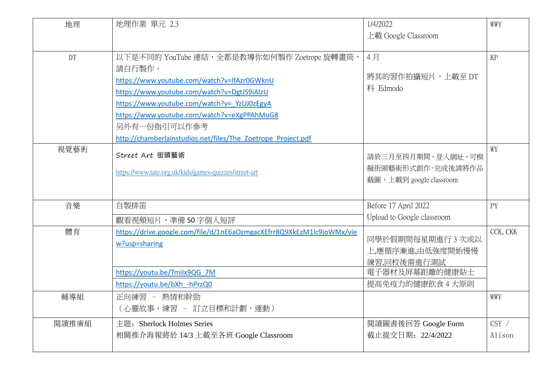| 地理    | 地理作業 單元 2.3                                                                                                                                                                                                                                                                                                                        | 1/4/2022                                                                                 | WWY             |
|-------|------------------------------------------------------------------------------------------------------------------------------------------------------------------------------------------------------------------------------------------------------------------------------------------------------------------------------------|------------------------------------------------------------------------------------------|-----------------|
|       |                                                                                                                                                                                                                                                                                                                                    | 上載 Google Classroom                                                                      |                 |
| DT    | 以下是不同的 YouTube 連結, 全都是教導你如何製作 Zoetrope 旋轉畫筒,<br>請自行製作。<br>https://www.youtube.com/watch?v=lfAzr0GWknU<br>https://www.youtube.com/watch?v=DgtJS9iAlzU<br>https://www.youtube.com/watch?v= YzUJ0zEgyA<br>https://www.youtube.com/watch?v=eXgPPAhMuG8<br>另外有一份指引可以作參考<br>http://chamberlainstudios.net/files/The Zoetrope Project.pdf | 4月<br>將其的習作拍攝短片,上載至 DT<br>科 Edmodo                                                       | KP              |
| 視覺藝術  | Street Art 街頭藝術<br>https://www.tate.org.uk/kids/games-quizzes/street-art                                                                                                                                                                                                                                                           | 請於三月至四月期間,登入網址,可模<br>擬街頭藝術形式創作,完成後請將作品<br>截圖,上載到 google classroom                        | WY              |
| 音樂    | 自製排笛<br>觀看視頻短片,準備50字個人短評                                                                                                                                                                                                                                                                                                           | Before 17 April 2022<br>Upload to Google classroom                                       | PY              |
| 體育    | https://drive.google.com/file/d/1nE6aOzmgacXEfrr8Q9XkEzM1lc9joWMx/vie<br>w?usp=sharing<br>https://youtu.be/Tmilx9QG 7M<br>https://youtu.be/bXh -hPrzQ0                                                                                                                                                                             | 同學於假期間每星期進行3次或以<br>上,應循序漸進,由低強度開始慢慢<br>練習,回校後需進行測試<br>電子器材及屏幕距離的健康貼士<br>提高免疫力的健康飲食 4 大原則 | CCK, CKK        |
| 輔導組   | 正向練習 - 熱情和幹勁<br>(心靈故事,練習 - 訂立目標和計劃,運動)                                                                                                                                                                                                                                                                                             |                                                                                          | WWY             |
| 閱讀推廣組 | 主題: Sherlock Holmes Series<br>相關推介海報將於 14/3 上載至各班 Google Classroom                                                                                                                                                                                                                                                                 | 閲讀圖書後回答 Google Form<br>截止提交日期: 22/4/2022                                                 | CSY /<br>Alison |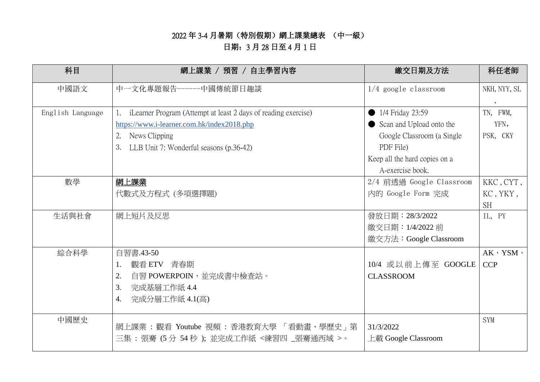### 2022 年 3-4 月暑期(特別假期)網上課業總表 (中一級)

# 日期:3 月 28 日至 4 月 1 日

| 科目               | 網上課業 / 預習 / 自主學習內容                                             | 繳交日期及方法                       | 科任老師         |
|------------------|----------------------------------------------------------------|-------------------------------|--------------|
| 中國語文             | 中一文化專題報告------中國傳統節日趣談                                         | $1/4$ google classroom        | NKH, NYY, SL |
|                  |                                                                |                               | $\cdot$      |
| English Language | iLearner Program (Attempt at least 2 days of reading exercise) | 1/4 Friday 23:59              | TN, FWM,     |
|                  | https://www.i-learner.com.hk/index2018.php                     | Scan and Upload onto the      | YFN,         |
|                  | News Clipping                                                  | Google Classroom (a Single    | PSK, CKY     |
|                  | LLB Unit 7: Wonderful seasons (p.36-42)<br>3.                  | PDF File)                     |              |
|                  |                                                                | Keep all the hard copies on a |              |
|                  |                                                                | A-exercise book.              |              |
| 數學               | <u>網上課業</u>                                                    | 2/4 前透過 Google Classroom      | KKC, CYT,    |
|                  | 代數式及方程式 (多項選擇題)                                                | 內的 Google Form 完成             | KC, YKY,     |
|                  |                                                                |                               | <b>SH</b>    |
| 生活與社會            | 網上短片及反思                                                        | 發放日期: 28/3/2022               | IL, PY       |
|                  |                                                                | 繳交日期: 1/4/2022 前              |              |
|                  |                                                                | 繳交方法: Google Classroom        |              |
| 綜合科學             | 自習書.43-50                                                      |                               | AK, YSM,     |
|                  | 觀看 ETV 青春期<br>1.                                               | 10/4 或以前上傳至 GOOGLE            | <b>CCP</b>   |
|                  | 自習 POWERPOIN,並完成書中檢查站。<br>2.                                   | <b>CLASSROOM</b>              |              |
|                  | 完成基層工作紙 4.4<br>3.                                              |                               |              |
|                  | 完成分層工作紙 4.1(高)<br>4.                                           |                               |              |
|                  |                                                                |                               |              |
| 中國歷史             | 網上課業 : 觀看 Youtube 視頻 : 香港教育大學 「看動畫、學歷史」第                       | 31/3/2022                     | <b>SYM</b>   |
|                  | 三集:張騫(5分54秒);並完成工作紙<練習四_張騫通西域 >。                               | 上載 Google Classroom           |              |
|                  |                                                                |                               |              |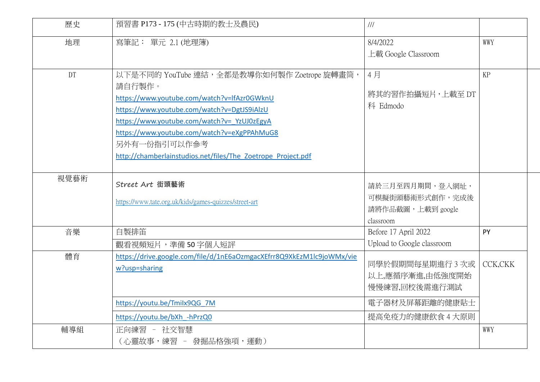| 歷史   | 預習書 P173 - 175 (中古時期的教士及農民)                                                                                                                                                                                                                                                                                                        | $/\!/ \!/$                                                           |          |
|------|------------------------------------------------------------------------------------------------------------------------------------------------------------------------------------------------------------------------------------------------------------------------------------------------------------------------------------|----------------------------------------------------------------------|----------|
| 地理   | 寫筆記: 單元 2.1 (地理簿)                                                                                                                                                                                                                                                                                                                  | 8/4/2022<br>上載 Google Classroom                                      | WWY      |
| DT   | 以下是不同的 YouTube 連結, 全都是教導你如何製作 Zoetrope 旋轉畫筒,<br>請自行製作。<br>https://www.youtube.com/watch?v=lfAzr0GWknU<br>https://www.youtube.com/watch?v=DgtJS9iAlzU<br>https://www.youtube.com/watch?v= YzUJ0zEgyA<br>https://www.youtube.com/watch?v=eXgPPAhMuG8<br>另外有一份指引可以作参考<br>http://chamberlainstudios.net/files/The Zoetrope Project.pdf | 4月<br>將其的習作拍攝短片,上載至 DT<br>科 Edmodo                                   | KP       |
| 視覺藝術 | Street Art 街頭藝術<br>https://www.tate.org.uk/kids/games-quizzes/street-art                                                                                                                                                                                                                                                           | 請於三月至四月期間,登入網址,<br>可模擬街頭藝術形式創作,完成後<br>請將作品截圖,上載到 google<br>classroom |          |
| 音樂   | 自製排笛<br>觀看視頻短片,準備 50字個人短評                                                                                                                                                                                                                                                                                                          | Before 17 April 2022<br>Upload to Google classroom                   | PY       |
| 體育   | https://drive.google.com/file/d/1nE6aOzmgacXEfrr8Q9XkEzM1lc9joWMx/vie<br>w?usp=sharing                                                                                                                                                                                                                                             | 同學於假期間每星期進行3次或<br>以上,應循序漸進,由低強度開始<br>慢慢練習,回校後需進行測試                   | CCK, CKK |
|      | https://youtu.be/Tmilx9QG 7M<br>https://youtu.be/bXh -hPrzQ0                                                                                                                                                                                                                                                                       | 電子器材及屏幕距離的健康貼士<br>提高免疫力的健康飲食 4 大原則                                   |          |
| 輔導組  | 正向練習 - 社交智慧<br>(心靈故事,練習 - 發掘品格強項,運動)                                                                                                                                                                                                                                                                                               |                                                                      | WWY      |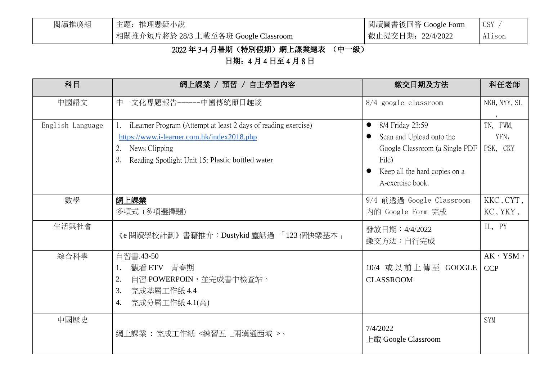| 閱讀推廣組 | 主題: 推理懸疑小說                           | 閲讀圖書後回答 Google Fo |  |
|-------|--------------------------------------|-------------------|--|
|       | 相關推介短片將於 28/3 上載至各班 Google Classroom | 截止提交日期: 22/4/2022 |  |

oogle Form CSY / Alison

# 2022 年 3-4 月暑期(特別假期)網上課業總表 (中一級)

日期:4 月 4 日至 4 月 8 日

| 科目               | 網上課業 / 預習 / 自主學習內容                                                                                                                                                                            | 繳交日期及方法                                                                                                                                      | 科任老師                                     |
|------------------|-----------------------------------------------------------------------------------------------------------------------------------------------------------------------------------------------|----------------------------------------------------------------------------------------------------------------------------------------------|------------------------------------------|
| 中國語文             | 中一文化專題報告------中國傳統節日趣談                                                                                                                                                                        | $8/4$ google classroom                                                                                                                       | NKH, NYY, SL<br>$\overline{\phantom{a}}$ |
| English Language | iLearner Program (Attempt at least 2 days of reading exercise)<br>https://www.i-learner.com.hk/index2018.php<br>News Clipping<br>2.<br>3.<br>Reading Spotlight Unit 15: Plastic bottled water | 8/4 Friday 23:59<br>Scan and Upload onto the<br>Google Classroom (a Single PDF<br>File)<br>Keep all the hard copies on a<br>A-exercise book. | TN, FWM,<br>YFN,<br>PSK, CKY             |
| 數學               | <u>網上課業</u><br>多項式 (多項選擇題)                                                                                                                                                                    | 9/4 前透過 Google Classroom<br>內的 Google Form 完成                                                                                                | KKC, CYT,<br>KC, YKY,                    |
| 生活與社會            | 《e 閱讀學校計劃》書籍推介:Dustykid 塵話過 「 123 個快樂基本 」                                                                                                                                                     | 發放日期: 4/4/2022<br>繳交方法:自行完成                                                                                                                  | IL, PY                                   |
| 綜合科學             | 自習書.43-50<br>觀看 ETV 青春期<br>自習 POWERPOIN,並完成書中檢查站。<br>2.<br>完成基層工作紙 4.4<br>3.<br>完成分層工作紙 4.1(高)<br>4.                                                                                          | 10/4 或以前上傳至 GOOGLE<br><b>CLASSROOM</b>                                                                                                       | $AK$ , YSM,<br><b>CCP</b>                |
| 中國歷史             | 網上課業:完成工作紙<練習五_兩漢通西域 >。                                                                                                                                                                       | 7/4/2022<br>上載 Google Classroom                                                                                                              | <b>SYM</b>                               |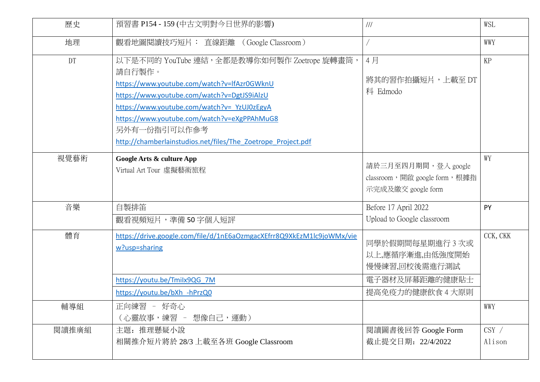| 歷史    | 預習書 P154 - 159 (中古文明對今日世界的影響)                                                                                                                                                                                                                                                                                                      | 111                                                                         | WSL             |
|-------|------------------------------------------------------------------------------------------------------------------------------------------------------------------------------------------------------------------------------------------------------------------------------------------------------------------------------------|-----------------------------------------------------------------------------|-----------------|
| 地理    | 觀看地圖閱讀技巧短片: 直線距離 (Google Classroom)                                                                                                                                                                                                                                                                                                |                                                                             | WWY             |
| DT    | 以下是不同的 YouTube 連結, 全都是教導你如何製作 Zoetrope 旋轉畫筒,<br>請自行製作。<br>https://www.youtube.com/watch?v=lfAzr0GWknU<br>https://www.youtube.com/watch?v=DgtJS9iAlzU<br>https://www.youtube.com/watch?v= YzUJ0zEgyA<br>https://www.youtube.com/watch?v=eXgPPAhMuG8<br>另外有一份指引可以作参考<br>http://chamberlainstudios.net/files/The Zoetrope Project.pdf | 4月<br>將其的習作拍攝短片,上載至 DT<br>科 Edmodo                                          | KP              |
| 視覺藝術  | Google Arts & culture App<br>Virtual Art Tour 虛擬藝術旅程                                                                                                                                                                                                                                                                               | 請於三月至四月期間,登入 google<br>classroom, 開啟 google form, 根據指<br>示完成及繳交 google form | WY              |
| 音樂    | 自製排笛<br>觀看視頻短片,準備 50 字個人短評                                                                                                                                                                                                                                                                                                         | Before 17 April 2022<br>Upload to Google classroom                          | PY              |
| 體育    | https://drive.google.com/file/d/1nE6aOzmgacXEfrr8Q9XkEzM1lc9joWMx/vie<br>w?usp=sharing<br>https://youtu.be/Tmilx9QG 7M                                                                                                                                                                                                             | 同學於假期間每星期進行3次或<br>以上,應循序漸進,由低強度開始<br>慢慢練習,回校後需進行測試<br>電子器材及屏幕距離的健康貼士        | CCK, CKK        |
|       | https://youtu.be/bXh -hPrzQ0                                                                                                                                                                                                                                                                                                       | 提高免疫力的健康飲食 4 大原則                                                            |                 |
| 輔導組   | 正向練習<br>好奇心<br>(心靈故事,練習 - 想像自己,運動)                                                                                                                                                                                                                                                                                                 |                                                                             | WWY             |
| 閱讀推廣組 | 主題: 推理懸疑小說<br>相關推介短片將於 28/3 上載至各班 Google Classroom                                                                                                                                                                                                                                                                                 | 閲讀圖書後回答 Google Form<br>截止提交日期: 22/4/2022                                    | CSY /<br>Alison |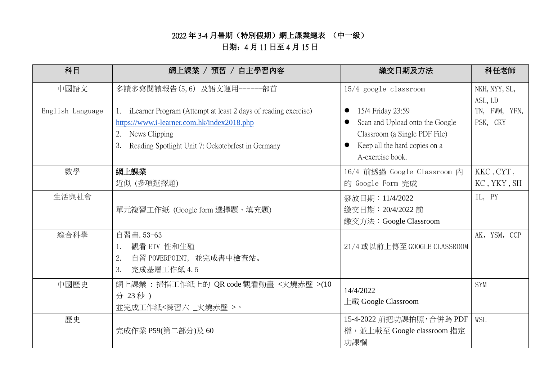### 2022 年 3-4 月暑期(特別假期)網上課業總表 (中一級)

# 日期:4 月 11 日至 4 月 15 日

| 科目               | 網上課業 / 預習 / 自主學習內容                                             | 繳交日期及方法                         | 科任老師          |
|------------------|----------------------------------------------------------------|---------------------------------|---------------|
| 中國語文             | 多讀多寫閱讀報告(5,6) 及語文運用------部首                                    | $15/4$ google classroom         | NKH, NYY, SL, |
|                  |                                                                |                                 | ASL, LD       |
| English Language | iLearner Program (Attempt at least 2 days of reading exercise) | 15/4 Friday 23:59<br>$\bullet$  | TN, FWM, YFN, |
|                  | https://www.i-learner.com.hk/index2018.php                     | Scan and Upload onto the Google | PSK, CKY      |
|                  | News Clipping<br>2.                                            | Classroom (a Single PDF File)   |               |
|                  | Reading Spotlight Unit 7: Ockotebrfest in Germany<br>3.        | Keep all the hard copies on a   |               |
|                  |                                                                | A-exercise book.                |               |
| 數學               | <u>網上課業</u>                                                    | 16/4 前透過 Google Classroom 內     | KKC, CYT,     |
|                  | 近似 (多項選擇題)                                                     | 的 Google Form 完成                | KC, YKY, SH   |
| 生活與社會            |                                                                | 發放日期: 11/4/2022                 | IL, PY        |
|                  | 單元複習工作紙 (Google form 選擇題、填充題)                                  | 繳交日期: 20/4/2022 前               |               |
|                  |                                                                | 繳交方法: Google Classroom          |               |
| 綜合科學             | 自習書. 53-63                                                     |                                 | AK, YSM, CCP  |
|                  | 觀看 ETV 性和生殖                                                    | 21/4 或以前上傳至 GOOGLE CLASSROOM    |               |
|                  | 2.<br>自習 POWERPOINT, 並完成書中檢查站。                                 |                                 |               |
|                  | 完成基層工作紙 4.5<br>3.                                              |                                 |               |
| 中國歷史             | 網上課業 : 掃描工作紙上的 QR code 觀看動畫 <火燒赤壁 >(10                         | 14/4/2022                       | <b>SYM</b>    |
|                  | 分 23秒)                                                         |                                 |               |
|                  | 並完成工作紙<練習六_火燒赤壁 >。                                             | 上載 Google Classroom             |               |
| 歷史               |                                                                | 15-4-2022 前把功課拍照, 合併為 PDF       | WSL           |
|                  | 完成作業 P59(第二部分)及 60                                             | 檔,並上載至 Google classroom 指定      |               |
|                  |                                                                | 功課欄                             |               |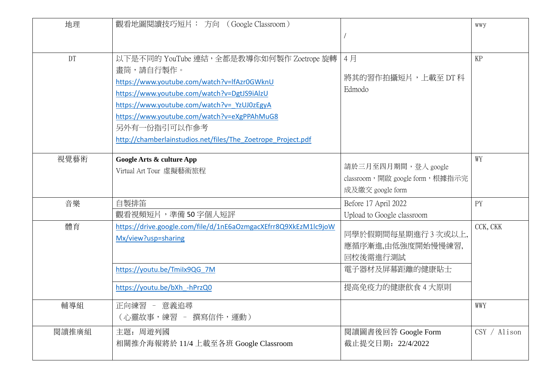| 地理        | 觀看地圖閱讀技巧短片: 方向 (Google Classroom)                                                                                                                                                                                                                                                                                                  |                                                                                          | <b>WWY</b>   |
|-----------|------------------------------------------------------------------------------------------------------------------------------------------------------------------------------------------------------------------------------------------------------------------------------------------------------------------------------------|------------------------------------------------------------------------------------------|--------------|
| <b>DT</b> | 以下是不同的 YouTube 連結, 全都是教導你如何製作 Zoetrope 旋轉<br>畫筒,請自行製作。<br>https://www.youtube.com/watch?v=lfAzr0GWknU<br>https://www.youtube.com/watch?v=DgtJS9iAlzU<br>https://www.youtube.com/watch?v= YzUJ0zEgyA<br>https://www.youtube.com/watch?v=eXgPPAhMuG8<br>另外有一份指引可以作参考<br>http://chamberlainstudios.net/files/The Zoetrope Project.pdf | 4月<br>將其的習作拍攝短片,上載至 DT 科<br>Edmodo                                                       | KP           |
| 視覺藝術      | Google Arts & culture App<br>Virtual Art Tour 虛擬藝術旅程                                                                                                                                                                                                                                                                               | 請於三月至四月期間,登入 google<br>classroom, 開啟 google form, 根據指示完<br>成及繳交 google form              | WY           |
| 音樂        | 自製排笛<br>觀看視頻短片,準備50字個人短評                                                                                                                                                                                                                                                                                                           | Before 17 April 2022<br>Upload to Google classroom                                       | PY           |
| 體育        | https://drive.google.com/file/d/1nE6aOzmgacXEfrr8Q9XkEzM1lc9joW<br>Mx/view?usp=sharing<br>https://youtu.be/Tmilx9QG 7M<br>https://youtu.be/bXh -hPrzQ0                                                                                                                                                                             | 同學於假期間每星期進行3次或以上,<br>應循序漸進,由低強度開始慢慢練習,<br>回校後需進行測試<br>電子器材及屏幕距離的健康貼士<br>提高免疫力的健康飲食 4 大原則 | CCK, CKK     |
| 輔導組       | 正向練習 - 意義追尋<br>(心靈故事,練習 - 撰寫信件,運動)                                                                                                                                                                                                                                                                                                 |                                                                                          | WWY          |
| 閲讀推廣組     | 主題: 周遊列國<br>相關推介海報將於 11/4 上載至各班 Google Classroom                                                                                                                                                                                                                                                                                   | 閲讀圖書後回答 Google Form<br>截止提交日期: 22/4/2022                                                 | CSY / Alison |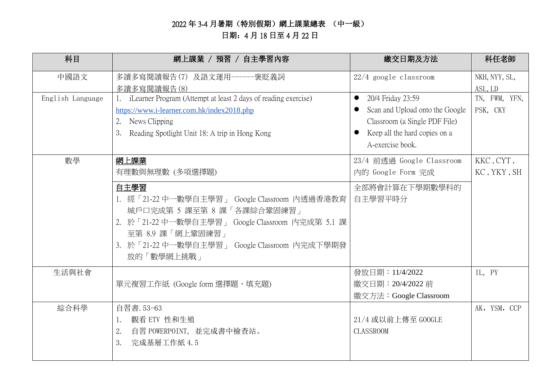## 2022 年 3-4 月暑期(特別假期)網上課業總表 (中一級) 日期:4 月 18 日至 4 月 22 日

| 科目               | 網上課業 / 預習 / 自主學習內容                                             | 繳交日期及方法                         | 科任老師          |
|------------------|----------------------------------------------------------------|---------------------------------|---------------|
| 中國語文             | 多讀多寫閱讀報告(7) 及語文運用------褒貶義詞                                    | $22/4$ google classroom         | NKH, NYY, SL, |
|                  | 多讀多寫閱讀報告(8)                                                    |                                 | ASL, LD       |
| English Language | iLearner Program (Attempt at least 2 days of reading exercise) | 20/4 Friday 23:59<br>$\bullet$  | TN, FWM, YFN, |
|                  | https://www.i-learner.com.hk/index2018.php                     | Scan and Upload onto the Google | PSK, CKY      |
|                  | News Clipping<br>2.                                            | Classroom (a Single PDF File)   |               |
|                  | Reading Spotlight Unit 18: A trip in Hong Kong<br>3.           | Keep all the hard copies on a   |               |
|                  |                                                                | A-exercise book.                |               |
| 數學               | 網上課業                                                           | 23/4 前透過 Google Classroom       | KKC, CYT,     |
|                  | 有理數與無理數 (多項選擇題)                                                | 內的 Google Form 完成               | KC, YKY, SH   |
|                  | 自主學習                                                           | 全部將會計算在下學期數學科的                  |               |
|                  | 1. 經「21-22 中一數學自主學習」 Google Classroom 內透過香港教育                  | 自主學習平時分                         |               |
|                  | 城戶口完成第 5 課至第 8 課「各課綜合鞏固練習」                                     |                                 |               |
|                  | 2. 於「21-22 中一數學自主學習」 Google Classroom 內完成第 5.1 課               |                                 |               |
|                  | 至第 8.9 課「網上鞏固練習」                                               |                                 |               |
|                  | 3. 於「21-22 中一數學自主學習」 Google Classroom 內完成下學期發                  |                                 |               |
|                  | 放的「數學網上挑戰」                                                     |                                 |               |
| 生活與社會            |                                                                | 發放日期: 11/4/2022                 | IL, PY        |
|                  | 單元複習工作紙 (Google form 選擇題、填充題)                                  | 繳交日期: 20/4/2022 前               |               |
|                  |                                                                | 繳交方法: Google Classroom          |               |
| 綜合科學             | 自習書. 53-63                                                     |                                 | AK, YSM, CCP  |
|                  | 觀看 ETV 性和生殖<br>1.                                              | 21/4 或以前上傳至 GOOGLE              |               |
|                  | 2.<br>自習 POWERPOINT, 並完成書中檢查站。                                 | <b>CLASSROOM</b>                |               |
|                  | 完成基層工作紙 4.5<br>3.                                              |                                 |               |
|                  |                                                                |                                 |               |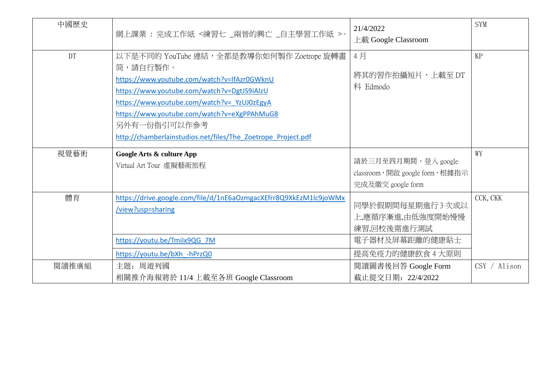| 中國歷史      | 網上課業: 完成工作紙 <練習七 _兩晉的興亡 _自主學習工作紙 >。                                                                                                                                                                                                                                                                                               | 21/4/2022<br>上載 Google Classroom                                                         | <b>SYM</b>   |
|-----------|-----------------------------------------------------------------------------------------------------------------------------------------------------------------------------------------------------------------------------------------------------------------------------------------------------------------------------------|------------------------------------------------------------------------------------------|--------------|
| <b>DT</b> | 以下是不同的 YouTube 連結,全都是教導你如何製作 Zoetrope 旋轉畫<br>筒,請自行製作。<br>https://www.youtube.com/watch?v=lfAzr0GWknU<br>https://www.youtube.com/watch?v=DgtJS9iAlzU<br>https://www.youtube.com/watch?v= YzUJ0zEgyA<br>https://www.youtube.com/watch?v=eXgPPAhMuG8<br>另外有一份指引可以作参考<br>http://chamberlainstudios.net/files/The Zoetrope Project.pdf | 4月<br>將其的習作拍攝短片,上載至 DT<br>科 Edmodo                                                       | KP           |
| 視覺藝術      | Google Arts & culture App<br>Virtual Art Tour 虛擬藝術旅程                                                                                                                                                                                                                                                                              | 請於三月至四月期間,登入 google<br>classroom, 開啟 google form, 根據指示<br>完成及繳交 google form              | WY           |
| 體育        | https://drive.google.com/file/d/1nE6aOzmgacXEfrr8Q9XkEzM1lc9joWMx<br>/view?usp=sharing<br>https://youtu.be/Tmilx9QG 7M<br>https://youtu.be/bXh -hPrzQ0                                                                                                                                                                            | 同學於假期間每星期進行3次或以<br>上,應循序漸進,由低強度開始慢慢<br>練習,回校後需進行測試<br>電子器材及屏幕距離的健康貼士<br>提高免疫力的健康飲食 4 大原則 | CCK, CKK     |
| 閱讀推廣組     | 主題: 周遊列國<br>相關推介海報將於 11/4 上載至各班 Google Classroom                                                                                                                                                                                                                                                                                  | 閲讀圖書後回答 Google Form<br>截止提交日期: 22/4/2022                                                 | CSY / Alison |